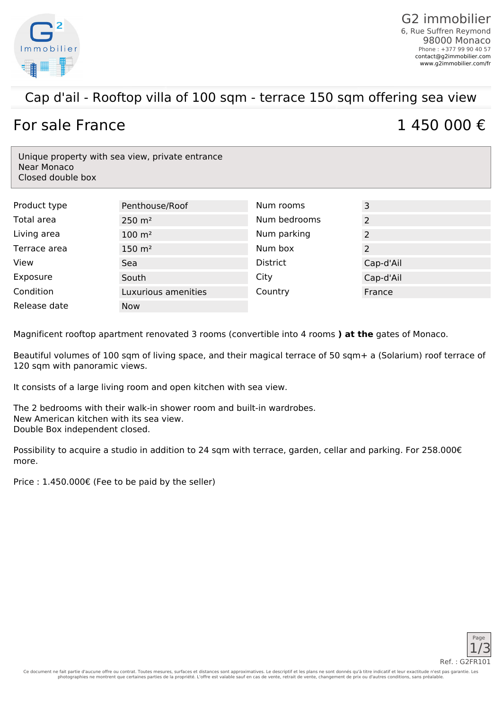

### Cap d'ail - Rooftop villa of 100 sqm - terrace 150 sqm offering sea view

# For sale France  $1, 450, 000 \in \mathbb{R}$

Unique property with sea view, private entrance Near Monaco Closed double box

| Product type | Penthouse/Roof      | Num rooms       | 3         |
|--------------|---------------------|-----------------|-----------|
| Total area   | $250 \; \text{m}^2$ | Num bedrooms    | 2         |
| Living area  | $100 \; \text{m}^2$ | Num parking     | 2         |
| Terrace area | $150 \; \text{m}^2$ | Num box         | 2         |
| View         | Sea                 | <b>District</b> | Cap-d'Ail |
| Exposure     | South               | City            | Cap-d'Ail |
| Condition    | Luxurious amenities | Country         | France    |
| Release date | <b>Now</b>          |                 |           |

Magnificent rooftop apartment renovated 3 rooms (convertible into 4 rooms **) at the** gates of Monaco.

Beautiful volumes of 100 sqm of living space, and their magical terrace of 50 sqm+ a (Solarium) roof terrace of 120 sqm with panoramic views.

It consists of a large living room and open kitchen with sea view.

The 2 bedrooms with their walk-in shower room and built-in wardrobes. New American kitchen with its sea view. Double Box independent closed.

Possibility to acquire a studio in addition to 24 sqm with terrace, garden, cellar and parking. For 258.000€ more.

Price : 1.450.000€ (Fee to be paid by the seller)

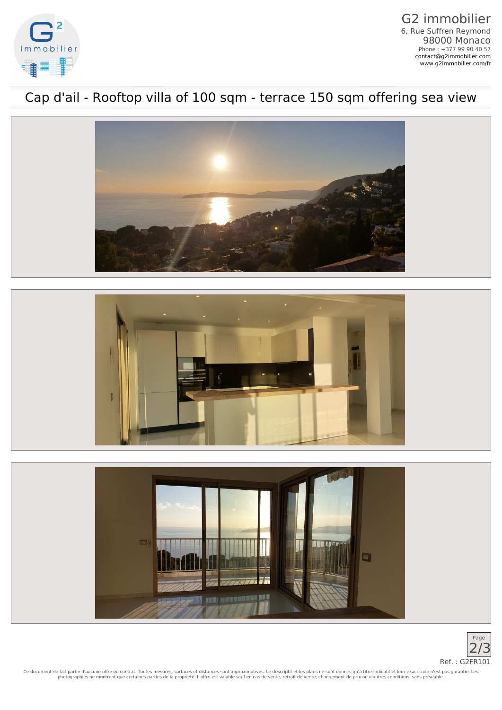

G2 immobilier 6, Rue Suffren Reymond 98000 Monaco Phone : +377 99 90 40 57 [contact@g2immobilier.com](mailto:contact@g2immobilier.com) [www.g2immobilier.com/fr](https://www.g2immobilier.com/fr/)

## Cap d'ail - Rooftop villa of 100 sqm - terrace 150 sqm offering sea view







Ce document ne fait partie d'aucune offre ou contrat. Toutes mesures, surfaces et distances sont approximatives. Le descriptif et les plans ne sont donnés qu'à titre indicatif et leur exactitude n'est pas garantie. Les<br>pho